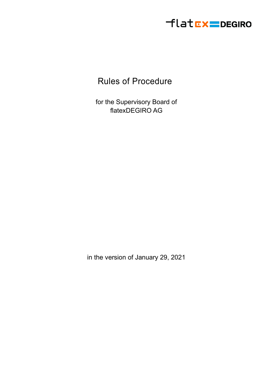

## Rules of Procedure

for the Supervisory Board of flatexDEGIRO AG

in the version of January 29, 2021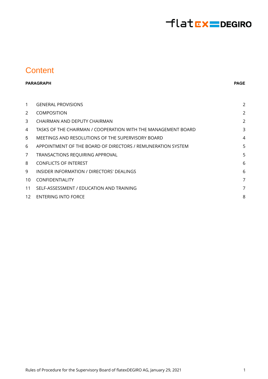# flatEx=DEGIRO

#### **Content**

#### **PARAGRAPH**

#### **PAGE**

| $\mathbf{1}$    | <b>GENERAL PROVISIONS</b>                                     | 2 |
|-----------------|---------------------------------------------------------------|---|
| 2               | <b>COMPOSITION</b>                                            | 2 |
| 3               | CHAIRMAN AND DEPUTY CHAIRMAN                                  | 2 |
| 4               | TASKS OF THE CHAIRMAN / COOPERATION WITH THE MANAGEMENT BOARD |   |
| 5               | MEETINGS AND RESOLUTIONS OF THE SUPERVISORY BOARD             | 4 |
| 6               | APPOINTMENT OF THE BOARD OF DIRECTORS / REMUNERATION SYSTEM   | 5 |
| 7               | TRANSACTIONS REQUIRING APPROVAL                               | 5 |
| 8               | <b>CONFLICTS OF INTEREST</b>                                  | 6 |
| 9               | INSIDER INFORMATION / DIRECTORS' DEALINGS                     | 6 |
| 10              | <b>CONFIDENTIALITY</b>                                        | 7 |
| 11              | SELF-ASSESSMENT / EDUCATION AND TRAINING                      | 7 |
| 12 <sup>1</sup> | ENTERING INTO FORCE                                           | 8 |
|                 |                                                               |   |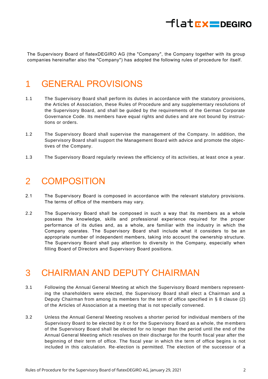

<span id="page-2-0"></span>The Supervisory Board of flatexDEGIRO AG (the "Company", the Company together with its group companies hereinafter also the "Company") has adopted the following rules of procedure for itself.

#### 1 GENERAL PROVISIONS

- 1.1 The Supervisory Board shall perform its duties in accordance with the statutory provisions, the Articles of Association, these Rules of Procedure and any supplementary resolutions of the Supervisory Board, and shall be guided by the requirements of the German Corporate Governance Code. Its members have equal rights and duties and are not bound by instructions or orders.
- 1.2 The Supervisory Board shall supervise the management of the Company. In addition, the Supervisory Board shall support the Management Board with advice and promote the objectives of the Company.
- <span id="page-2-1"></span>1.3 The Supervisory Board regularly reviews the efficiency of its activities, at least once a year.

#### 2 COMPOSITION

- 2.1 The Supervisory Board is composed in accordance with the relevant statutory provisions. The terms of office of the members may vary.
- 2.2 The Supervisory Board shall be composed in such a way that its members as a whole possess the knowledge, skills and professional experience required for the proper performance of its duties and, as a whole, are familiar with the industry in which the Company operates. The Supervisory Board shall include what it considers to be an appropriate number of independent members, taking into account the ownership structure. The Supervisory Board shall pay attention to diversity in the Company, especially when filling Board of Directors and Supervisory Board positions.

#### <span id="page-2-2"></span>3 CHAIRMAN AND DEPUTY CHAIRMAN

- 3.1 Following the Annual General Meeting at which the Supervisory Board members representing the shareholders were elected, the Supervisory Board shall elect a Chairman and a Deputy Chairman from among its members for the term of office specified in § 8 clause (2) of the Articles of Association at a meeting that is not specially convened.
- 3.2 Unless the Annual General Meeting resolves a shorter period for individual members of the Supervisory Board to be elected by it or for the Supervisory Board as a whole, the m embers of the Supervisory Board shall be elected for no longer than the period until the end of the Annual General Meeting which resolves on their discharge for the fourth fiscal year after the beginning of their term of office. The fiscal year in which the term of office begins is not included in this calculation. Re-election is permitted. The election of the successor of a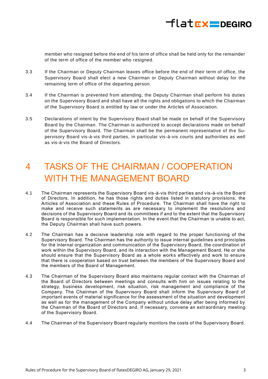

member who resigned before the end of his term of office shall be held only for the remainder of the term of office of the member who resigned.

- 3.3 If the Chairman or Deputy Chairman leaves office before the end of their term of office, the Supervisory Board shall elect a new Chairman or Deputy Chairman without delay for the remaining term of office of the departing person.
- 3.4 If the Chairman is prevented from attending, the Deputy Chairman shall perform his duties on the Supervisory Board and shall have all the rights and obligations to which the Chairman of the Supervisory Board is entitled by law or under the Articles of Association.
- 3.5 Declarations of intent by the Supervisory Board shall be made on behalf of the Supervisory Board by the Chairman. The Chairman is authorized to accept declarations made on behalf of the Supervisory Board. The Chairman shall be the permanent representative of the Supervisory Board vis-à-vis third parties, in particular vis-à-vis courts and authorities as well as vis-à-vis the Board of Directors.

## <span id="page-3-0"></span>4 TASKS OF THE CHAIRMAN / COOPERATION WITH THE MANAGEMENT BOARD

- 4.1 The Chairman represents the Supervisory Board vis-à-vis third parties and vis-à-vis the Board of Directors. In addition, he has those rights and duties listed in statutory provisions, the Articles of Association and these Rules of Procedure. The Chairman shall have the right to make and receive such statements as are necessary to implement the resolutions and decisions of the Supervisory Board and its committees if and to the extent that the Supervisory Board is responsible for such implementation. In the event that the Chairman is unable to act, the Deputy Chairman shall have such powers.
- 4.2 The Chairman has a decisive leadership role with regard to the proper functioning of the Supervisory Board. The Chairman has the authority to issue internal guidelines a nd principles for the internal organization and communication of the Supervisory Board, the coordination of work within the Supervisory Board, and its interaction with the Management Board. He or she should ensure that the Supervisory Board as a whole works effectively and work to ensure that there is cooperation based on trust between the members of the Supervisory Board and the members of the Board of Management.
- 4.3 The Chairman of the Supervisory Board also maintains regular contact with the Chairman of the Board of Directors between meetings and consults with him on issues relating to the strategy, business development, risk situation, risk management and compliance of the Company. The Chairman of the Supervisory Board shall inform the Supervisory Board of important events of material significance for the assessment of the situation and development as well as for the management of the Company without undue delay after being informed by the Chairman of the Board of Directors and, if necessary, convene an extraordinary meeting of the Supervisory Board.
- 4.4 The Chairman of the Supervisory Board regularly monitors the costs of the Supervisory Board.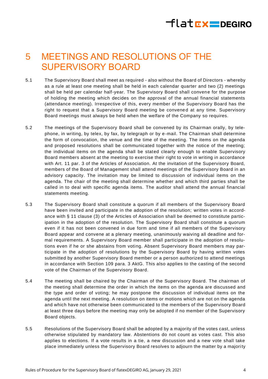# $H$ latrx DEGIRO

### <span id="page-4-0"></span>5 MEETINGS AND RESOLUTIONS OF THE SUPERVISORY BOARD

- 5.1 The Supervisory Board shall meet as required also without the Board of Directors whereby as a rule at least one meeting shall be held in each calendar quarter and two (2) meetings shall be held per calendar half-year. The Supervisory Board shall convene for the purpose of holding the meeting which decides on the approval of the annual financial statements (attendance meeting). Irrespective of this, every member of the Supervisory Board has the right to request that a Supervisory Board meeting be convened at any time. Supervisory Board meetings must always be held when the welfare of the Company so requires.
- 5.2 The meetings of the Supervisory Board shall be convened by its Chairman orally, by telephone, in writing, by telex, by fax, by telegraph or by e-mail. The Chairman shall determine the form of convocation, the venue and the time of the meeting. The items on the agenda and proposed resolutions shall be communicated together with the notice of the meeting; the individual items on the agenda shall be stated clearly enough to enable Supervisory Board members absent at the meeting to exercise their right to vote in writing in accordance with Art. 11 par. 3 of the Articles of Association. At the invitation of the Supervisory Board, members of the Board of Management shall attend meetings of the Supervisory Board in an advisory capacity. The invitation may be limited to discussion of individual items on the agenda. The chair of the meeting shall determine whether and which third parties shall be called in to deal with specific agenda items. The auditor shall attend the annual financial statements meeting.
- 5.3 The Supervisory Board shall constitute a quorum if all members of the Supervisory Board have been invited and participate in the adoption of the resolution; written votes in accordance with § 11 clause (3) of the Articles of Association shall be deemed to constitute participation in the adoption of the resolution. The Supervisory Board shall constitute a quorum even if it has not been convened in due form and time if all members of the Supervisory Board appear and convene at a plenary meeting, unanimously waiving all deadline and formal requirements. A Supervisory Board member shall participate in the adoption of resolutions even if he or she abstains from voting. Absent Supervisory Board members may participate in the adoption of resolutions by the Supervisory Board by having written votes submitted by another Supervisory Board member or a person authorized to attend meetings in accordance with Section 109 para. 3 AktG. This also applies to the casting of the second vote of the Chairman of the Supervisory Board.
- 5.4 The meeting shall be chaired by the Chairman of the Supervisory Board. The chairman of the meeting shall determine the order in which the items on the agenda are discussed and the type and order of voting; he may postpone the discussion of individual items on the agenda until the next meeting. A resolution on items or motions which are not on the agenda and which have not otherwise been communicated to the members of the Supervisory Board at least three days before the meeting may only be adopted if no member of the Supervisory Board objects.
- 5.5 Resolutions of the Supervisory Board shall be adopted by a majority of the votes cast, unless otherwise stipulated by mandatory law. Abstentions do not count as votes cast. This also applies to elections. If a vote results in a tie, a new discussion and a new vote shall take place immediately unless the Supervisory Board resolves to adjourn the matter by a majori ty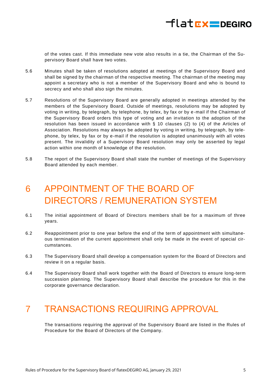

of the votes cast. If this immediate new vote also results in a tie, the Chairman of the Supervisory Board shall have two votes.

- 5.6 Minutes shall be taken of resolutions adopted at meetings of the Supervisory Board and shall be signed by the chairman of the respective meeting. The chairman of the meeting may appoint a secretary who is not a member of the Supervisory Board and who is bound to secrecy and who shall also sign the minutes.
- 5.7 Resolutions of the Supervisory Board are generally adopted in meetings attended by the members of the Supervisory Board. Outside of meetings, resolutions may be adopted by voting in writing, by telegraph, by telephone, by telex, by fax or by e -mail if the Chairman of the Supervisory Board orders this type of voting and an invitation to the adoption of the resolution has been issued in accordance with § 10 clauses (2) to (4) of the Articles of Association. Resolutions may always be adopted by voting in writing, by telegraph, by telephone, by telex, by fax or by e-mail if the resolution is adopted unanimously with all votes present. The invalidity of a Supervisory Board resolution may only be asserted by legal action within one month of knowledge of the resolution.
- <span id="page-5-0"></span>5.8 The report of the Supervisory Board shall state the number of m eetings of the Supervisory Board attended by each member.

## 6 APPOINTMENT OF THE BOARD OF DIRECTORS / REMUNERATION SYSTEM

- 6.1 The initial appointment of Board of Directors members shall be for a maximum of three years.
- 6.2 Reappointment prior to one year before the end of the term of appointment with simultaneous termination of the current appointment shall only be made in the event of special circumstances.
- 6.3 The Supervisory Board shall develop a compensation system for the Board of Directors and review it on a regular basis.
- 6.4 The Supervisory Board shall work together with the Board of Directors to ensure long-term succession planning. The Supervisory Board shall describe the procedure for this in the corporate governance declaration.

#### <span id="page-5-1"></span>7 TRANSACTIONS REQUIRING APPROVAL

The transactions requiring the approval of the Supervisory Board are listed in the Rules of Procedure for the Board of Directors of the Company.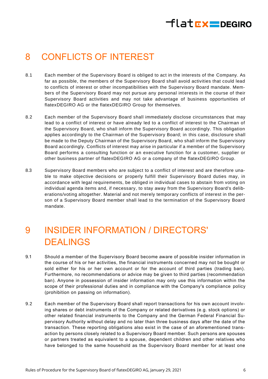# flat**EX=DEGIRO**

## <span id="page-6-0"></span>8 CONFLICTS OF INTEREST

- 8.1 Each member of the Supervisory Board is obliged to act in the interests of the Company. As far as possible, the members of the Supervisory Board shall avoid activities that could lead to conflicts of interest or other incompatibilities with the Supervisory Board mandate. Members of the Supervisory Board may not pursue any personal interests in the course of their Supervisory Board activities and may not take advantage of business opportunities of flatexDEGIRO AG or the flatexDEGIRO Group for themselves.
- 8.2 Each member of the Supervisory Board shall immediately disclose circumstances that may lead to a conflict of interest or have already led to a conflict of interest to the Chairman of the Supervisory Board, who shall inform the Supervisory Board accordingly. This obligation applies accordingly to the Chairman of the Supervisory Board; in this case, disclosure shall be made to the Deputy Chairman of the Supervisory Board, who shall inform the Supervisory Board accordingly. Conflicts of interest may arise in particular if a member of the Supervisory Board performs a consulting function or an executive function for a customer, supplier or other business partner of flatexDEGIRO AG or a company of the flatexDEGIRO Group.
- 8.3 Supervisory Board members who are subject to a conflict of interest and are therefore unable to make objective decisions or properly fulfill their Supervisory Board duties may, in accordance with legal requirements, be obliged in individual cases to abstain from voting on individual agenda items and, if necessary, to stay away from the Supervisory Board's deliberations/voting altogether. Material and not merely temporary conflicts of interest in the person of a Supervisory Board member shall lead to the termination of the Supervisory Board mandate.

## <span id="page-6-1"></span>9 INSIDER INFORMATION / DIRECTORS' DEALINGS

- 9.1 Should a member of the Supervisory Board become aware of possible insider information in the course of his or her activities, the financial instruments concerned may not be bought or sold either for his or her own account or for the account of third parties (trading ban). Furthermore, no recommendations or advice may be given to third parties (recommendation ban). Anyone in possession of insider information may only use this information within the scope of their professional duties and in compliance with the Company's compliance policy (prohibition on passing on information).
- 9.2 Each member of the Supervisory Board shall report transactions for his own account involving shares or debt instruments of the Company or related derivatives (e.g. stock options) or other related financial instruments to the Company and the German Federal Financial Supervisory Authority without delay and no later than three business days after the date of the transaction. These reporting obligations also exist in the case of an aforementioned transaction by persons closely related to a Supervisory Board member. Such persons are spouses or partners treated as equivalent to a spouse, dependent children and other relatives who have belonged to the same household as the Supervisory Board member for at least one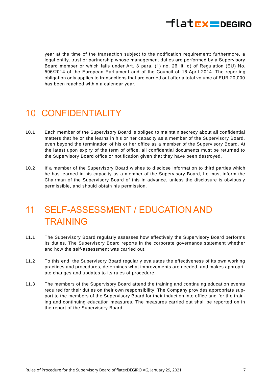<span id="page-7-0"></span>

year at the time of the transaction subject to the notification requirement; furthermore, a legal entity, trust or partnership whose management duties are performed by a Supervisory Board member or which falls under Art. 3 para. (1) no. 26 lit. d) of Regulation (EU) No. 596/2014 of the European Parliament and of the Council of 16 April 2014. The reporting obligation only applies to transactions that are carried out after a total volume of EUR 20,000 has been reached within a calendar year.

## 10 CONFIDENTIALITY

- 10.1 Each member of the Supervisory Board is obliged to maintain secrecy about all confidential matters that he or she learns in his or her capacity as a member of the Supervisory Board, even beyond the termination of his or her office as a member of the Supervisory Board. At the latest upon expiry of the term of office, all confidential documents must be returned to the Supervisory Board office or notification given that they have been destroyed.
- 10.2 If a member of the Supervisory Board wishes to disclose information to third parties which he has learned in his capacity as a member of the Supervisory Board, he must inform the Chairman of the Supervisory Board of this in advance, unless the disclosure is obviously permissible, and should obtain his permission.

## <span id="page-7-1"></span>11 SELF-ASSESSMENT / EDUCATION AND TRAINING

- 11.1 The Supervisory Board regularly assesses how effectively the Supervisory Board performs its duties. The Supervisory Board reports in the corporate governance statement whether and how the self-assessment was carried out.
- 11.2 To this end, the Supervisory Board regularly evaluates the effectiveness of its own working practices and procedures, determines what improvements are needed, and makes appropriate changes and updates to its rules of procedure.
- 11.3 The members of the Supervisory Board attend the training and continuing education events required for their duties on their own responsibility. The Company provides appropriate support to the members of the Supervisory Board for their induction into office and for the training and continuing education measures. The measures carried out shall be reported on in the report of the Supervisory Board.